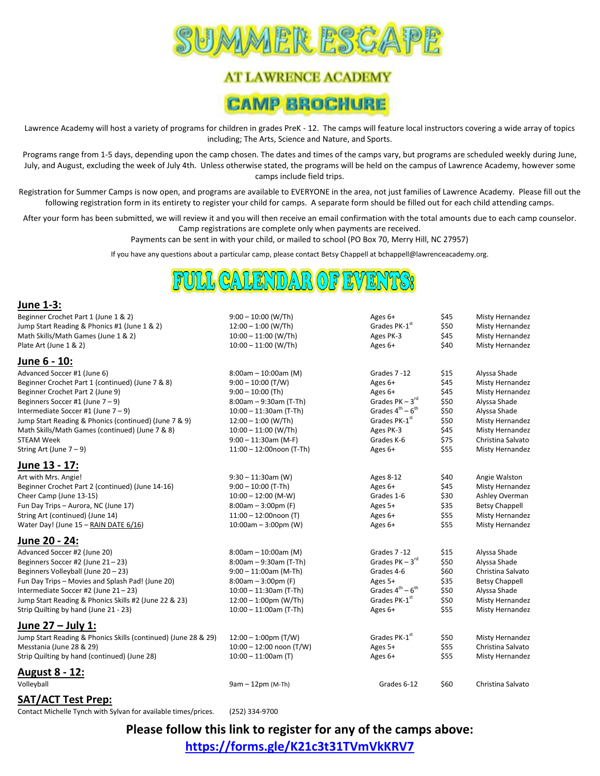

# **AT LAWRENCE ACADEMY CAMP BROCHURE**

Lawrence Academy will host a variety of programs for children in grades PreK - 12. The camps will feature local instructors covering a wide array of topics including; The Arts, Science and Nature, and Sports.

Programs range from 1-5 days, depending upon the camp chosen. The dates and times of the camps vary, but programs are scheduled weekly during June, July, and August, excluding the week of July 4th. Unless otherwise stated, the programs will be held on the campus of Lawrence Academy, however some camps include field trips.

Registration for Summer Camps is now open, and programs are available to EVERYONE in the area, not just families of Lawrence Academy. Please fill out the following registration form in its entirety to register your child for camps. A separate form should be filled out for each child attending camps.

After your form has been submitted, we will review it and you will then receive an email confirmation with the total amounts due to each camp counselor. Camp registrations are complete only when payments are received.

Payments can be sent in with your child, or mailed to school (PO Box 70, Merry Hill, NC 27957)

If you have any questions about a particular camp, please contact Betsy Chappell at bchappell@lawrenceacademy.org.

\$50 Misty Hernandez

\$50 Alyssa Shade

\$50 Alyssa Shade<br>\$50 Misty Hernan

Misty Hernandez

Grades  $PK-3^{rd}$ 

 $-6<sup>th</sup>$ 

### **June 1-3:**

Beginner Crochet Part 1 (June 1 & 2) 9:00 – 10:00 (W/Th) Ages 6+ \$45 Misty Hernandez Jump Start Reading & Phonics #1 (June 1 & 2)  $12:00-1:00$  (W/Th) Grades PK-1<sup>st</sup> Math Skills/Math Games (June 1 & 2) 10:00 – 11:00 (W/Th) Ages PK-3 \$45 Misty Hernandez Plate Art (June 1 & 2) 10:00 – 11:00 (W/Th) Ages 6+ \$40 Misty Hernandez

#### **June 6 - 10:**

| Advanced Soccer #1 (June 6)                           | $8:00$ am - 10:00am (M)     | Grades 7-12                            | \$15 | Alyssa Shade      |
|-------------------------------------------------------|-----------------------------|----------------------------------------|------|-------------------|
| Beginner Crochet Part 1 (continued) (June 7 & 8)      | $9:00 - 10:00$ (T/W)        | Ages $6+$                              | \$45 | Misty Hernandez   |
| Beginner Crochet Part 2 (June 9)                      | $9:00 - 10:00$ (Th)         | Ages 6+                                | \$45 | Misty Hernandez   |
| Beginners Soccer #1 (June $7 - 9$ )                   | $8:00$ am - 9:30am (T-Th)   | Grades $PK - 3rd$                      | \$50 | Alyssa Shade      |
| Intermediate Soccer #1 (June $7 - 9$ )                | $10:00 - 11:30$ am (T-Th)   | Grades $4^{\text{th}} - 6^{\text{th}}$ | \$50 | Alyssa Shade      |
| Jump Start Reading & Phonics (continued) (June 7 & 9) | $12:00 - 1:00$ (W/Th)       | Grades PK-1 <sup>st</sup>              | \$50 | Misty Hernandez   |
| Math Skills/Math Games (continued) (June 7 & 8)       | $10:00 - 11:00$ (W/Th)      | Ages PK-3                              | \$45 | Misty Hernandez   |
| <b>STEAM Week</b>                                     | $9:00 - 11:30$ am (M-F)     | Grades K-6                             | \$75 | Christina Salvato |
| String Art (June $7 - 9$ )                            | $11:00 - 12:00$ noon (T-Th) | Ages 6+                                | \$55 | Misty Hernandez   |

#### **June 13 - 17:**

Art with Mrs. Angie! 11:30am (W) Ages 8-12 \$40 Angie Walston (Art with Mrs. Angie Walston Beginner Crochet Part 2 (continued) (June 14-16) 9:00 – 10:00 (T-Th) Ages 6+ \$45 Misty Hernandez Cheer Camp (June 13-15) 10:00 – 12:00 (M-W) Grades 1-6 \$30 Ashley Overman Fun Day Trips – Aurora, NC (June 17) 8:00am – 3:00pm (F) Ages 5+ \$35 Betsy Chappell String Art (continued) (June 14) **11:00 – 12:00noon** (T) Ages 6+ \$55 Misty Hernandez Water Day! (June 15 – RAIN DATE 6/16) **10:00am** – 3:00pm (W) Ages 6+ \$55 Misty Hernandez

### **June 20 - 24:**

Advanced Soccer #2 (June 20) The Soccer and Soccer #2 (June 20) Soccer #2 (June 20) Suppose 8:00am – 10:00am (M) Beginners Soccer #2 (June  $21 - 23$ ) 8:00am – 9:30am (T-Th) Beginners Volleyball (June 20 – 23) **9:00 – 11:00am (M-Th)** Grades 4-6 \$60 Christina Salvato Fun Day Trips – Movies and Splash Pad! (June 20) **8:00am – 3:00pm (F)** Ages 5+ \$35 Betsy Chappell<br>
10:00 – 11:30am (T-Th) Ages 5+ \$50 Alvssa Shade (Intermediate Soccer #2 (June 21 – 33) Intermediate Soccer #2 (June 21 – 23) 10:00 – 11:30am (T-Th) Grades 4<sup>th</sup> – 6<br>12:00 – 1:00pm (W/Th) Grades PK-1<sup>st</sup> Grades PK-1<sup>st</sup> (June 22 & 23) 12:00 – 1:00pm (W/Th) Jump Start Reading & Phonics Skills #2 (June 22 & 23)  $12:00 - 1:00 \text{pm}$  (W/Th) Strip Quilting by hand (June 21 - 23) 10:00 – 11:00am (T-Th) Ages 6+ \$55 Misty Hernandez

### **June 27 – July 1:**

Jump Start Reading & Phonics Skills (continued) (June 28 & 29)  $12:00-1:00$ pm (T/W) Grades PK-1<sup>st</sup> \$50 Misty Hernandez Messtania (June 28 & 29) 10:00 – 12:00 noon (T/W) Ages 5+ \$55 Christina Salvato Strip Quilting by hand (continued) (June 28) **10:00** - 11:00am (T) **11:00am (T)** Ages 6+ \$55 Misty Hernandez

### **August 8 - 12:**

Volleyball 9am – 12pm (M-Th) Grades 6-12 \$60 Christina Salvato

### **SAT/ACT Test Prep:**

Contact Michelle Tynch with Sylvan for available times/prices. (252) 334-9700

**Please follow this link to register for any of the camps above: <https://forms.gle/K21c3t31TVmVkKRV7>**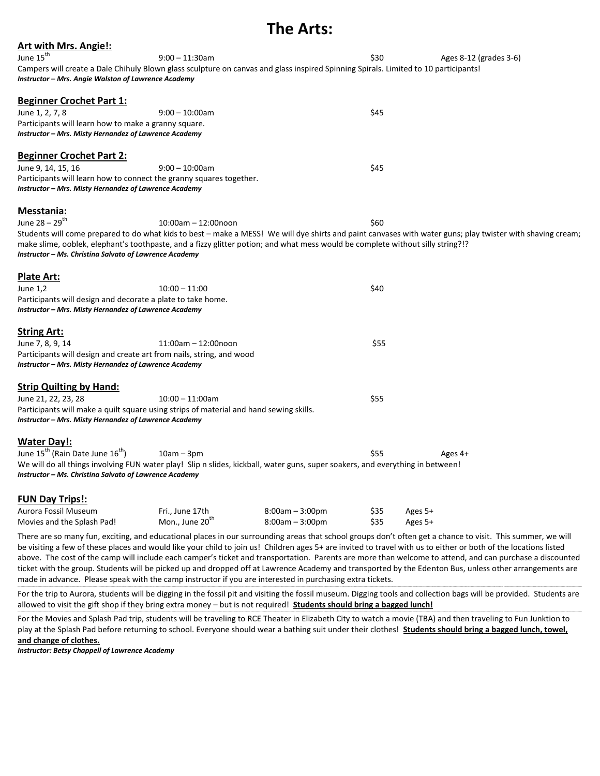## **The Arts:**

| <b>Art with Mrs. Angie!:</b>                                                                                                        |                             |                   |      |         |                                                                                                                                                            |
|-------------------------------------------------------------------------------------------------------------------------------------|-----------------------------|-------------------|------|---------|------------------------------------------------------------------------------------------------------------------------------------------------------------|
| June 15 <sup>th</sup>                                                                                                               | $9:00 - 11:30$ am           |                   | \$30 |         | Ages 8-12 (grades 3-6)                                                                                                                                     |
| Campers will create a Dale Chihuly Blown glass sculpture on canvas and glass inspired Spinning Spirals. Limited to 10 participants! |                             |                   |      |         |                                                                                                                                                            |
| Instructor – Mrs. Angie Walston of Lawrence Academy                                                                                 |                             |                   |      |         |                                                                                                                                                            |
|                                                                                                                                     |                             |                   |      |         |                                                                                                                                                            |
| <b>Beginner Crochet Part 1:</b>                                                                                                     |                             |                   |      |         |                                                                                                                                                            |
| June 1, 2, 7, 8                                                                                                                     | $9:00 - 10:00$ am           |                   | \$45 |         |                                                                                                                                                            |
| Participants will learn how to make a granny square.<br>Instructor - Mrs. Misty Hernandez of Lawrence Academy                       |                             |                   |      |         |                                                                                                                                                            |
|                                                                                                                                     |                             |                   |      |         |                                                                                                                                                            |
| <b>Beginner Crochet Part 2:</b>                                                                                                     |                             |                   |      |         |                                                                                                                                                            |
| June 9, 14, 15, 16                                                                                                                  | $9:00 - 10:00$ am           |                   | \$45 |         |                                                                                                                                                            |
| Participants will learn how to connect the granny squares together.                                                                 |                             |                   |      |         |                                                                                                                                                            |
| Instructor - Mrs. Misty Hernandez of Lawrence Academy                                                                               |                             |                   |      |         |                                                                                                                                                            |
|                                                                                                                                     |                             |                   |      |         |                                                                                                                                                            |
| <b>Messtania:</b>                                                                                                                   |                             |                   |      |         |                                                                                                                                                            |
| June $28 - 29$ <sup>th</sup>                                                                                                        | $10:00$ am $- 12:00$ noon   |                   | \$60 |         |                                                                                                                                                            |
|                                                                                                                                     |                             |                   |      |         | Students will come prepared to do what kids to best – make a MESS! We will dye shirts and paint canvases with water guns; play twister with shaving cream; |
| make slime, ooblek, elephant's toothpaste, and a fizzy glitter potion; and what mess would be complete without silly string?!?      |                             |                   |      |         |                                                                                                                                                            |
| Instructor - Ms. Christina Salvato of Lawrence Academy                                                                              |                             |                   |      |         |                                                                                                                                                            |
| <b>Plate Art:</b>                                                                                                                   |                             |                   |      |         |                                                                                                                                                            |
| June 1,2                                                                                                                            | $10:00 - 11:00$             |                   | \$40 |         |                                                                                                                                                            |
| Participants will design and decorate a plate to take home.                                                                         |                             |                   |      |         |                                                                                                                                                            |
| Instructor - Mrs. Misty Hernandez of Lawrence Academy                                                                               |                             |                   |      |         |                                                                                                                                                            |
|                                                                                                                                     |                             |                   |      |         |                                                                                                                                                            |
| <b>String Art:</b>                                                                                                                  |                             |                   |      |         |                                                                                                                                                            |
| June 7, 8, 9, 14                                                                                                                    | $11:00$ am $-12:00$ noon    |                   | \$55 |         |                                                                                                                                                            |
| Participants will design and create art from nails, string, and wood                                                                |                             |                   |      |         |                                                                                                                                                            |
| Instructor - Mrs. Misty Hernandez of Lawrence Academy                                                                               |                             |                   |      |         |                                                                                                                                                            |
| <b>Strip Quilting by Hand:</b>                                                                                                      |                             |                   |      |         |                                                                                                                                                            |
| June 21, 22, 23, 28                                                                                                                 | $10:00 - 11:00$ am          |                   | \$55 |         |                                                                                                                                                            |
| Participants will make a quilt square using strips of material and hand sewing skills.                                              |                             |                   |      |         |                                                                                                                                                            |
| Instructor - Mrs. Misty Hernandez of Lawrence Academy                                                                               |                             |                   |      |         |                                                                                                                                                            |
|                                                                                                                                     |                             |                   |      |         |                                                                                                                                                            |
| <b>Water Day!:</b>                                                                                                                  |                             |                   |      |         |                                                                                                                                                            |
| June 15 <sup>th</sup> (Rain Date June 16 <sup>th</sup> )                                                                            | $10am - 3pm$                |                   | \$55 |         | Ages 4+                                                                                                                                                    |
| We will do all things involving FUN water play! Slip n slides, kickball, water guns, super soakers, and everything in between!      |                             |                   |      |         |                                                                                                                                                            |
| Instructor - Ms. Christina Salvato of Lawrence Academy                                                                              |                             |                   |      |         |                                                                                                                                                            |
|                                                                                                                                     |                             |                   |      |         |                                                                                                                                                            |
| <b>FUN Day Trips!:</b>                                                                                                              |                             |                   |      |         |                                                                                                                                                            |
| Aurora Fossil Museum                                                                                                                | Fri., June 17th             | $8:00am - 3:00pm$ | \$35 | Ages 5+ |                                                                                                                                                            |
| Movies and the Splash Pad!                                                                                                          | Mon., June 20 <sup>th</sup> | $8:00am - 3:00pm$ | \$35 | Ages 5+ |                                                                                                                                                            |

There are so many fun, exciting, and educational places in our surrounding areas that school groups don't often get a chance to visit. This summer, we will be visiting a few of these places and would like your child to join us! Children ages 5+ are invited to travel with us to either or both of the locations listed above. The cost of the camp will include each camper's ticket and transportation. Parents are more than welcome to attend, and can purchase a discounted ticket with the group. Students will be picked up and dropped off at Lawrence Academy and transported by the Edenton Bus, unless other arrangements are made in advance. Please speak with the camp instructor if you are interested in purchasing extra tickets.

For the trip to Aurora, students will be digging in the fossil pit and visiting the fossil museum. Digging tools and collection bags will be provided. Students are allowed to visit the gift shop if they bring extra money – but is not required! **Students should bring a bagged lunch!**

For the Movies and Splash Pad trip, students will be traveling to RCE Theater in Elizabeth City to watch a movie (TBA) and then traveling to Fun Junktion to play at the Splash Pad before returning to school. Everyone should wear a bathing suit under their clothes! Students should bring a bagged lunch, towel, **and change of clothes.**

*Instructor: Betsy Chappell of Lawrence Academy*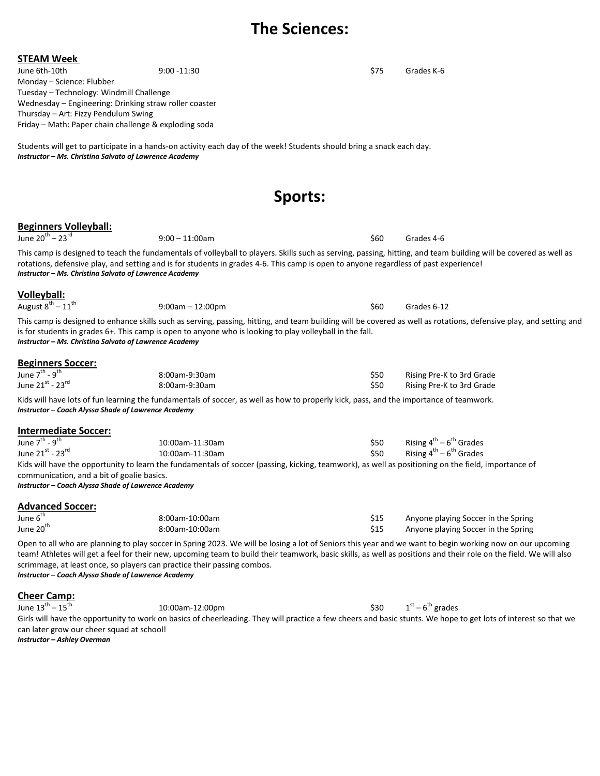### **The Sciences:**

| June 6th-10th                                                                                     | $9:00 - 11:30$                                                                                                                                                                                                                                                                                                                                                                                            | \$75           | Grades K-6                                                                                                                                                         |
|---------------------------------------------------------------------------------------------------|-----------------------------------------------------------------------------------------------------------------------------------------------------------------------------------------------------------------------------------------------------------------------------------------------------------------------------------------------------------------------------------------------------------|----------------|--------------------------------------------------------------------------------------------------------------------------------------------------------------------|
| Monday - Science: Flubber                                                                         |                                                                                                                                                                                                                                                                                                                                                                                                           |                |                                                                                                                                                                    |
| Tuesday - Technology: Windmill Challenge                                                          |                                                                                                                                                                                                                                                                                                                                                                                                           |                |                                                                                                                                                                    |
| Wednesday - Engineering: Drinking straw roller coaster                                            |                                                                                                                                                                                                                                                                                                                                                                                                           |                |                                                                                                                                                                    |
| Thursday - Art: Fizzy Pendulum Swing                                                              |                                                                                                                                                                                                                                                                                                                                                                                                           |                |                                                                                                                                                                    |
| Friday - Math: Paper chain challenge & exploding soda                                             |                                                                                                                                                                                                                                                                                                                                                                                                           |                |                                                                                                                                                                    |
|                                                                                                   | Students will get to participate in a hands-on activity each day of the week! Students should bring a snack each day.                                                                                                                                                                                                                                                                                     |                |                                                                                                                                                                    |
| Instructor - Ms. Christina Salvato of Lawrence Academy                                            |                                                                                                                                                                                                                                                                                                                                                                                                           |                |                                                                                                                                                                    |
|                                                                                                   |                                                                                                                                                                                                                                                                                                                                                                                                           |                |                                                                                                                                                                    |
|                                                                                                   |                                                                                                                                                                                                                                                                                                                                                                                                           | <b>Sports:</b> |                                                                                                                                                                    |
| <b>Beginners Volleyball:</b>                                                                      |                                                                                                                                                                                                                                                                                                                                                                                                           |                |                                                                                                                                                                    |
| June $20^{th} - 23^{rd}$                                                                          | $9:00 - 11:00$ am                                                                                                                                                                                                                                                                                                                                                                                         | \$60           | Grades 4-6                                                                                                                                                         |
| Instructor - Ms. Christina Salvato of Lawrence Academy                                            | rotations, defensive play, and setting and is for students in grades 4-6. This camp is open to anyone regardless of past experience!                                                                                                                                                                                                                                                                      |                | This camp is designed to teach the fundamentals of volleyball to players. Skills such as serving, passing, hitting, and team building will be covered as well as   |
| Volleyball:                                                                                       |                                                                                                                                                                                                                                                                                                                                                                                                           |                |                                                                                                                                                                    |
| August $8^{th} - 11^{th}$                                                                         | $9:00am - 12:00pm$                                                                                                                                                                                                                                                                                                                                                                                        | \$60           | Grades 6-12                                                                                                                                                        |
| Instructor - Ms. Christina Salvato of Lawrence Academy                                            | is for students in grades 6+. This camp is open to anyone who is looking to play volleyball in the fall.                                                                                                                                                                                                                                                                                                  |                | This camp is designed to enhance skills such as serving, passing, hitting, and team building will be covered as well as rotations, defensive play, and setting and |
| <b>Beginners Soccer:</b>                                                                          |                                                                                                                                                                                                                                                                                                                                                                                                           |                |                                                                                                                                                                    |
| June 7 <sup>th</sup> - 9 <sup>th</sup>                                                            | 8:00am-9:30am                                                                                                                                                                                                                                                                                                                                                                                             | \$50           | Rising Pre-K to 3rd Grade                                                                                                                                          |
| June 21st - 23rd                                                                                  | 8:00am-9:30am                                                                                                                                                                                                                                                                                                                                                                                             | \$50           | Rising Pre-K to 3rd Grade                                                                                                                                          |
| Instructor - Coach Alyssa Shade of Lawrence Academy                                               | Kids will have lots of fun learning the fundamentals of soccer, as well as how to properly kick, pass, and the importance of teamwork.                                                                                                                                                                                                                                                                    |                |                                                                                                                                                                    |
| <b>Intermediate Soccer:</b>                                                                       |                                                                                                                                                                                                                                                                                                                                                                                                           |                |                                                                                                                                                                    |
| June 7 <sup>th</sup> - 9 <sup>th</sup>                                                            | 10:00am-11:30am                                                                                                                                                                                                                                                                                                                                                                                           | \$50           | Rising $4^{th}$ – $6^{th}$ Grades                                                                                                                                  |
| June 21st - 23rd                                                                                  | 10:00am-11:30am                                                                                                                                                                                                                                                                                                                                                                                           | \$50           | Rising $4^{th}$ – $6^{th}$ Grades                                                                                                                                  |
| communication, and a bit of goalie basics.<br>Instructor - Coach Alyssa Shade of Lawrence Academy | Kids will have the opportunity to learn the fundamentals of soccer (passing, kicking, teamwork), as well as positioning on the field, importance of                                                                                                                                                                                                                                                       |                |                                                                                                                                                                    |
| <b>Advanced Soccer:</b>                                                                           |                                                                                                                                                                                                                                                                                                                                                                                                           |                |                                                                                                                                                                    |
| June 6 <sup>th</sup>                                                                              | 8:00am-10:00am                                                                                                                                                                                                                                                                                                                                                                                            | \$15           | Anyone playing Soccer in the Spring                                                                                                                                |
| June 20 <sup>th</sup>                                                                             | 8:00am-10:00am                                                                                                                                                                                                                                                                                                                                                                                            | \$15           | Anyone playing Soccer in the Spring                                                                                                                                |
| Instructor - Coach Alyssa Shade of Lawrence Academy                                               | Open to all who are planning to play soccer in Spring 2023. We will be losing a lot of Seniors this year and we want to begin working now on our upcoming<br>team! Athletes will get a feel for their new, upcoming team to build their teamwork, basic skills, as well as positions and their role on the field. We will also<br>scrimmage, at least once, so players can practice their passing combos. |                |                                                                                                                                                                    |
| <b>Cheer Camp:</b>                                                                                |                                                                                                                                                                                                                                                                                                                                                                                                           |                |                                                                                                                                                                    |

June  $13^{\sf th}$  –  $15^{\sf th}$ 10:00am-12:00pm \$30 <sup>st</sup> – 6<sup>th</sup> grades Girls will have the opportunity to work on basics of cheerleading. They will practice a few cheers and basic stunts. We hope to get lots of interest so that we can later grow our cheer squad at school!

*Instructor – Ashley Overman*

**STEAM Week**